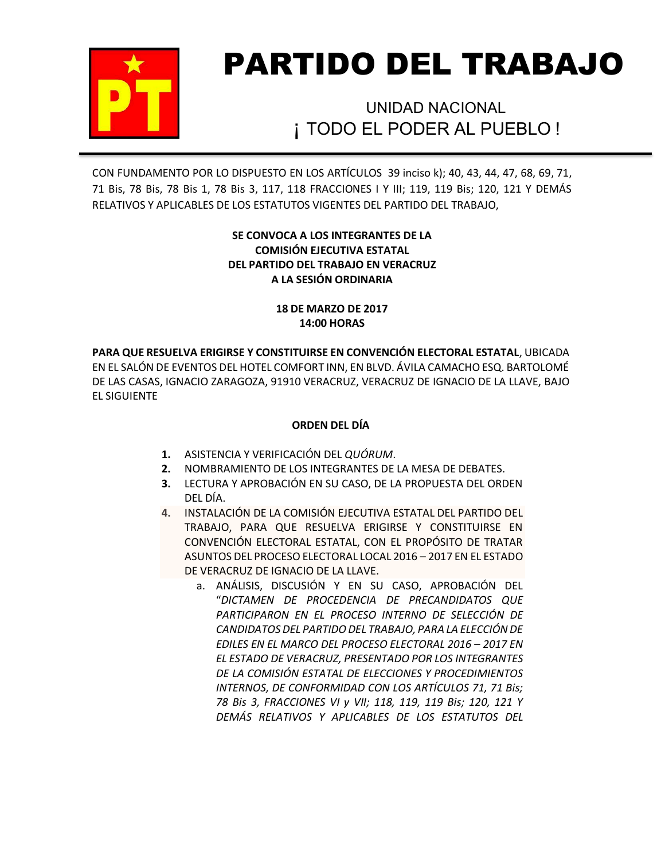

# PARTIDO DEL TRABAJO

¡ TODO EL PODER AL PUEBLO ! UNIDAD NACIONAL

CON FUNDAMENTO POR LO DISPUESTO EN LOS ARTÍCULOS 39 inciso k); 40, 43, 44, 47, 68, 69, 71, 71 Bis, 78 Bis, 78 Bis 1, 78 Bis 3, 117, 118 FRACCIONES I Y III; 119, 119 Bis; 120, 121 Y DEMÁS RELATIVOS Y APLICABLES DE LOS ESTATUTOS VIGENTES DEL PARTIDO DEL TRABAJO,

# **SE CONVOCA A LOS INTEGRANTES DE LA COMISIÓN EJECUTIVA ESTATAL DEL PARTIDO DEL TRABAJO EN VERACRUZ A LA SESIÓN ORDINARIA**

## **18 DE MARZO DE 2017 14:00 HORAS**

**PARA QUE RESUELVA ERIGIRSE Y CONSTITUIRSE EN CONVENCIÓN ELECTORAL ESTATAL**, UBICADA EN EL SALÓN DE EVENTOS DEL HOTEL COMFORT INN, EN BLVD. ÁVILA CAMACHO ESQ. BARTOLOMÉ DE LAS CASAS, IGNACIO ZARAGOZA, 91910 VERACRUZ, VERACRUZ DE IGNACIO DE LA LLAVE, BAJO EL SIGUIENTE

# **ORDEN DEL DÍA**

- **1.** ASISTENCIA Y VERIFICACIÓN DEL *QUÓRUM*.
- **2.** NOMBRAMIENTO DE LOS INTEGRANTES DE LA MESA DE DEBATES.
- **3.** LECTURA Y APROBACIÓN EN SU CASO, DE LA PROPUESTA DEL ORDEN DEL DÍA.
- **4.** INSTALACIÓN DE LA COMISIÓN EJECUTIVA ESTATAL DEL PARTIDO DEL TRABAJO, PARA QUE RESUELVA ERIGIRSE Y CONSTITUIRSE EN CONVENCIÓN ELECTORAL ESTATAL, CON EL PROPÓSITO DE TRATAR ASUNTOS DEL PROCESO ELECTORAL LOCAL 2016 – 2017 EN EL ESTADO DE VERACRUZ DE IGNACIO DE LA LLAVE.
	- a. ANÁLISIS, DISCUSIÓN Y EN SU CASO, APROBACIÓN DEL "*DICTAMEN DE PROCEDENCIA DE PRECANDIDATOS QUE PARTICIPARON EN EL PROCESO INTERNO DE SELECCIÓN DE CANDIDATOS DEL PARTIDO DEL TRABAJO, PARA LA ELECCIÓN DE EDILES EN EL MARCO DEL PROCESO ELECTORAL 2016 – 2017 EN EL ESTADO DE VERACRUZ, PRESENTADO POR LOS INTEGRANTES DE LA COMISIÓN ESTATAL DE ELECCIONES Y PROCEDIMIENTOS INTERNOS, DE CONFORMIDAD CON LOS ARTÍCULOS 71, 71 Bis; 78 Bis 3, FRACCIONES VI y VII; 118, 119, 119 Bis; 120, 121 Y DEMÁS RELATIVOS Y APLICABLES DE LOS ESTATUTOS DEL*